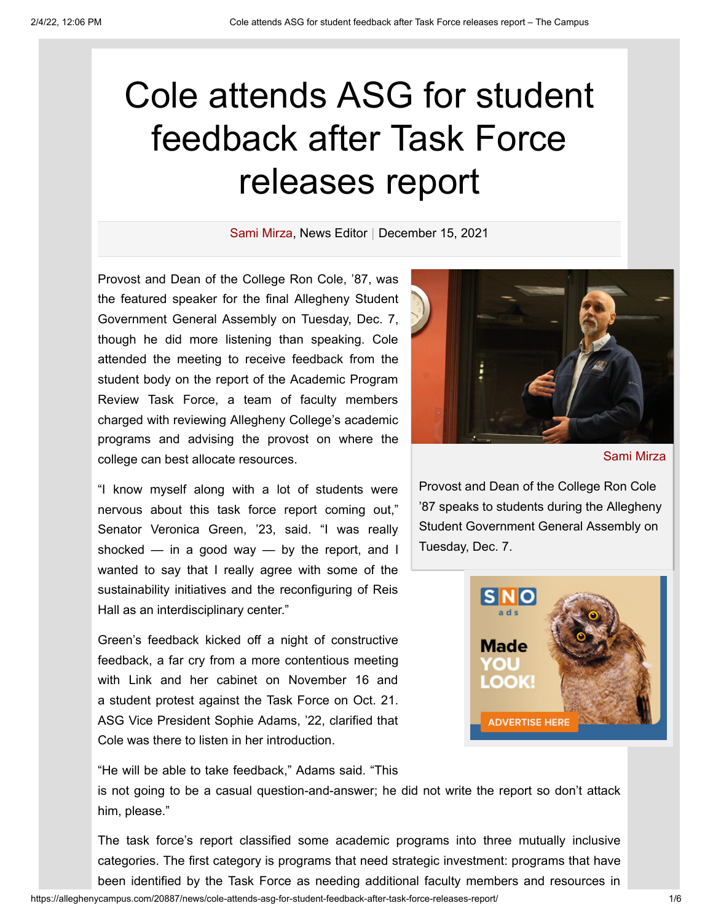## Cole attends ASG for student feedback after Task Force releases report

[Sami Mirza](https://alleghenycampus.com/staff_name/sami-mirza/), News Editor | December 15, 2021

Provost and Dean of the College Ron Cole, '87, was the featured speaker for the final Allegheny Student Government General Assembly on Tuesday, Dec. 7, though he did more listening than speaking. Cole attended the meeting to receive feedback from the student body on the report of the Academic Program Review Task Force, a team of faculty members charged with reviewing Allegheny College's academic programs and advising the provost on where the college can best allocate resources.

"I know myself along with a lot of students were nervous about this task force report coming out," Senator Veronica Green, '23, said. "I was really shocked  $-$  in a good way  $-$  by the report, and I wanted to say that I really agree with some of the sustainability initiatives and the reconfiguring of Reis Hall as an interdisciplinary center."

Green's feedback kicked off a night of constructive feedback, a far cry from a more [contentious](https://alleghenycampus.com/20867/news/link-cabinet-face-tough-questions-at-general-assembly/) meeting with Link and her cabinet on November 16 and a [student](https://alleghenycampus.com/20719/news/students-protest-task-force-allegations-of-harassment/) protest against the Task Force on Oct. 21. ASG Vice President Sophie Adams, '22, clarified that Cole was there to listen in her introduction.

"He will be able to take feedback," Adams said. "This

is not going to be a casual question-and-answer; he did not write the report so don't attack him, please."

The task force's report classified some academic programs into three mutually inclusive categories. The first category is programs that need strategic investment: programs that have been identified by the Task Force as needing additional faculty members and resources in



[Sami Mirza](https://alleghenycampus.com/staff_name/sami-mirza/)

Provost and Dean of the College Ron Cole '87 speaks to students during the Allegheny Student Government General Assembly on Tuesday, Dec. 7.

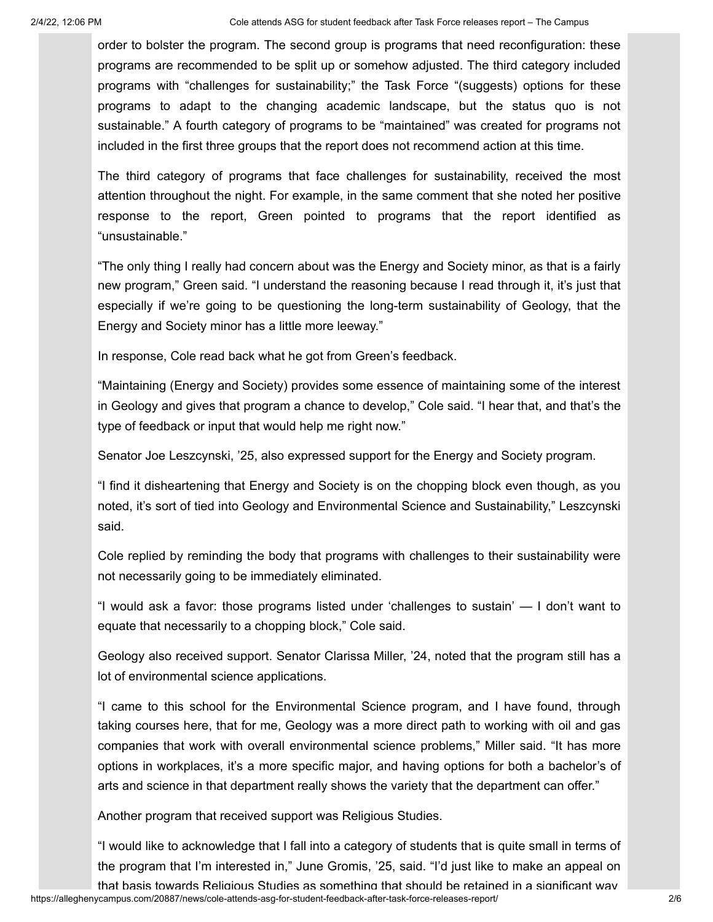order to bolster the program. The second group is programs that need reconfiguration: these programs are recommended to be split up or somehow adjusted. The third category included programs with "challenges for sustainability;" the Task Force "(suggests) options for these programs to adapt to the changing academic landscape, but the status quo is not sustainable." A fourth category of programs to be "maintained" was created for programs not included in the first three groups that the report does not recommend action at this time.

The third category of programs that face challenges for sustainability, received the most attention throughout the night. For example, in the same comment that she noted her positive response to the report, Green pointed to programs that the report identified as "unsustainable."

"The only thing I really had concern about was the Energy and Society minor, as that is a fairly new program," Green said. "I understand the reasoning because I read through it, it's just that especially if we're going to be questioning the long-term sustainability of Geology, that the Energy and Society minor has a little more leeway."

In response, Cole read back what he got from Green's feedback.

"Maintaining (Energy and Society) provides some essence of maintaining some of the interest in Geology and gives that program a chance to develop," Cole said. "I hear that, and that's the type of feedback or input that would help me right now."

Senator Joe Leszcynski, '25, also expressed support for the Energy and Society program.

"I find it disheartening that Energy and Society is on the chopping block even though, as you noted, it's sort of tied into Geology and Environmental Science and Sustainability," Leszcynski said.

Cole replied by reminding the body that programs with challenges to their sustainability were not necessarily going to be immediately eliminated.

"I would ask a favor: those programs listed under 'challenges to sustain' — I don't want to equate that necessarily to a chopping block," Cole said.

Geology also received support. Senator Clarissa Miller, '24, noted that the program still has a lot of environmental science applications.

"I came to this school for the Environmental Science program, and I have found, through taking courses here, that for me, Geology was a more direct path to working with oil and gas companies that work with overall environmental science problems," Miller said. "It has more options in workplaces, it's a more specific major, and having options for both a bachelor's of arts and science in that department really shows the variety that the department can offer."

Another program that received support was Religious Studies.

"I would like to acknowledge that I fall into a category of students that is quite small in terms of the program that I'm interested in," June Gromis, '25, said. "I'd just like to make an appeal on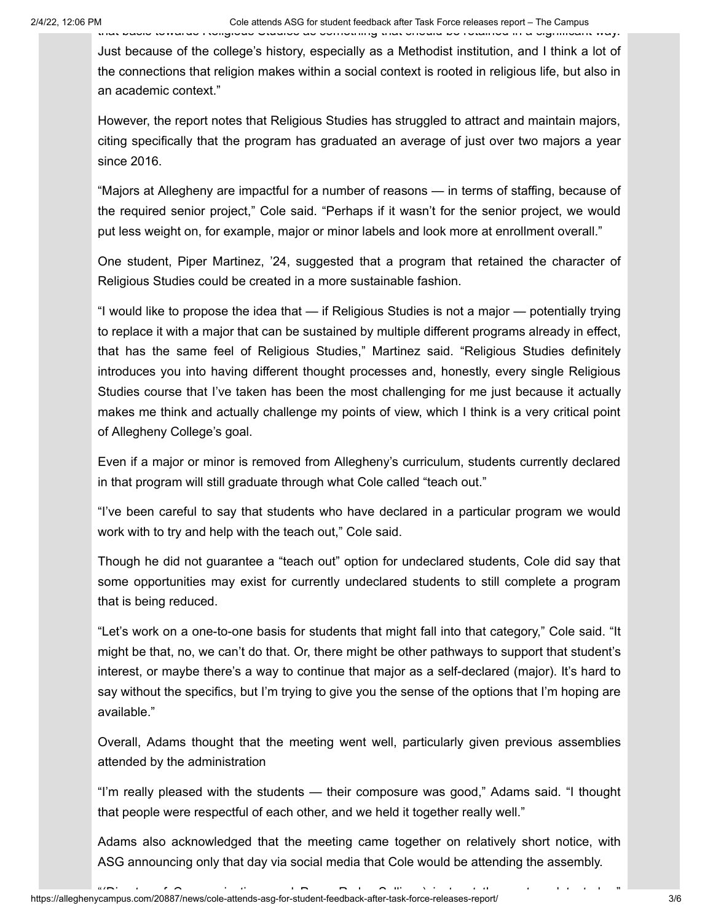Just because of the college's history, especially as a Methodist institution, and I think a lot of the connections that religion makes within a social context is rooted in religious life, but also in an academic context."

However, the report notes that Religious Studies has struggled to attract and maintain majors, citing specifically that the program has graduated an average of just over two majors a year since 2016.

"Majors at Allegheny are impactful for a number of reasons — in terms of staffing, because of the required senior project," Cole said. "Perhaps if it wasn't for the senior project, we would put less weight on, for example, major or minor labels and look more at enrollment overall."

One student, Piper Martinez, '24, suggested that a program that retained the character of Religious Studies could be created in a more sustainable fashion.

"I would like to propose the idea that — if Religious Studies is not a major — potentially trying to replace it with a major that can be sustained by multiple different programs already in effect, that has the same feel of Religious Studies," Martinez said. "Religious Studies definitely introduces you into having different thought processes and, honestly, every single Religious Studies course that I've taken has been the most challenging for me just because it actually makes me think and actually challenge my points of view, which I think is a very critical point of Allegheny College's goal.

Even if a major or minor is removed from Allegheny's curriculum, students currently declared in that program will still graduate through what Cole called "teach out."

"I've been careful to say that students who have declared in a particular program we would work with to try and help with the teach out," Cole said.

Though he did not guarantee a "teach out" option for undeclared students, Cole did say that some opportunities may exist for currently undeclared students to still complete a program that is being reduced.

"Let's work on a one-to-one basis for students that might fall into that category," Cole said. "It might be that, no, we can't do that. Or, there might be other pathways to support that student's interest, or maybe there's a way to continue that major as a self-declared (major). It's hard to say without the specifics, but I'm trying to give you the sense of the options that I'm hoping are available."

Overall, Adams thought that the meeting went well, particularly given previous assemblies attended by the administration

"I'm really pleased with the students — their composure was good," Adams said. "I thought that people were respectful of each other, and we held it together really well."

Adams also acknowledged that the meeting came together on relatively short notice, with ASG announcing only that day via social media that Cole would be attending the assembly.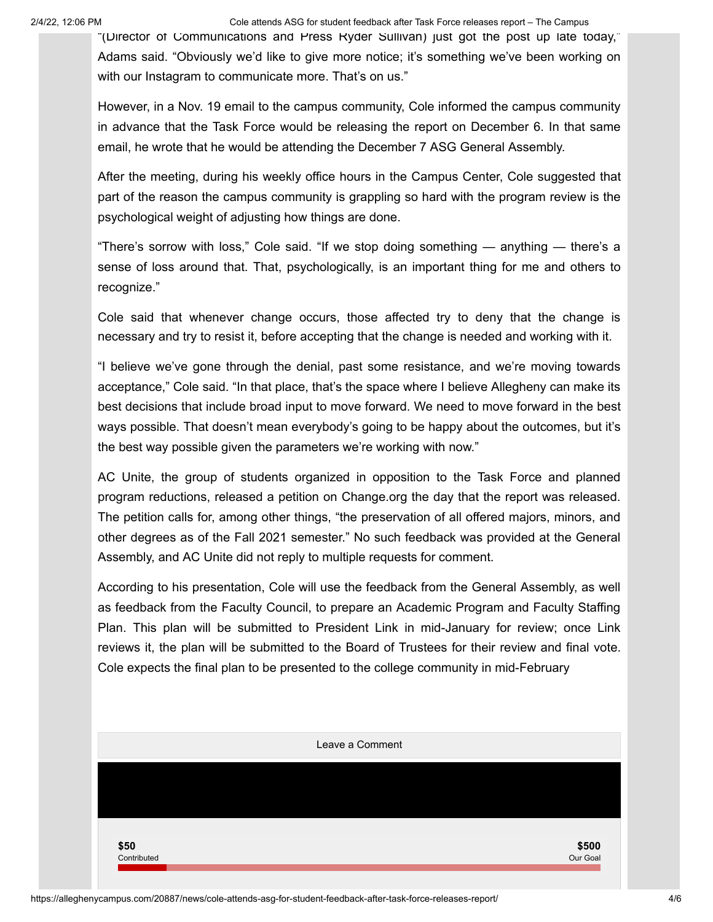2/4/22, 12:06 PM Cole attends ASG for student feedback after Task Force releases report – The Campus

"(Director of Communications and Press Ryder Sullivan) just got the post up late today," Adams said. "Obviously we'd like to give more notice; it's something we've been working on with our Instagram to communicate more. That's on us."

However, in a Nov. 19 email to the campus community, Cole informed the campus community in advance that the Task Force would be releasing the report on December 6. In that same email, he wrote that he would be attending the December 7 ASG General Assembly.

After the meeting, during his weekly office hours in the Campus Center, Cole suggested that part of the reason the campus community is grappling so hard with the program review is the psychological weight of adjusting how things are done.

"There's sorrow with loss," Cole said. "If we stop doing something — anything — there's a sense of loss around that. That, psychologically, is an important thing for me and others to recognize."

Cole said that whenever change occurs, those affected try to deny that the change is necessary and try to resist it, before accepting that the change is needed and working with it.

"I believe we've gone through the denial, past some resistance, and we're moving towards acceptance," Cole said. "In that place, that's the space where I believe Allegheny can make its best decisions that include broad input to move forward. We need to move forward in the best ways possible. That doesn't mean everybody's going to be happy about the outcomes, but it's the best way possible given the parameters we're working with now."

AC Unite, the group of students organized in opposition to the Task Force and planned program reductions, released a petition on Change.org the day that the report was released. The petition calls for, among other things, "the preservation of all offered majors, minors, and other degrees as of the Fall 2021 semester." No such feedback was provided at the General Assembly, and AC Unite did not reply to multiple requests for comment.

According to his presentation, Cole will use the feedback from the General Assembly, as well as feedback from the Faculty Council, to prepare an Academic Program and Faculty Staffing Plan. This plan will be submitted to President Link in mid-January for review; once Link reviews it, the plan will be submitted to the Board of Trustees for their review and final vote. Cole expects the final plan to be presented to the college community in mid-February